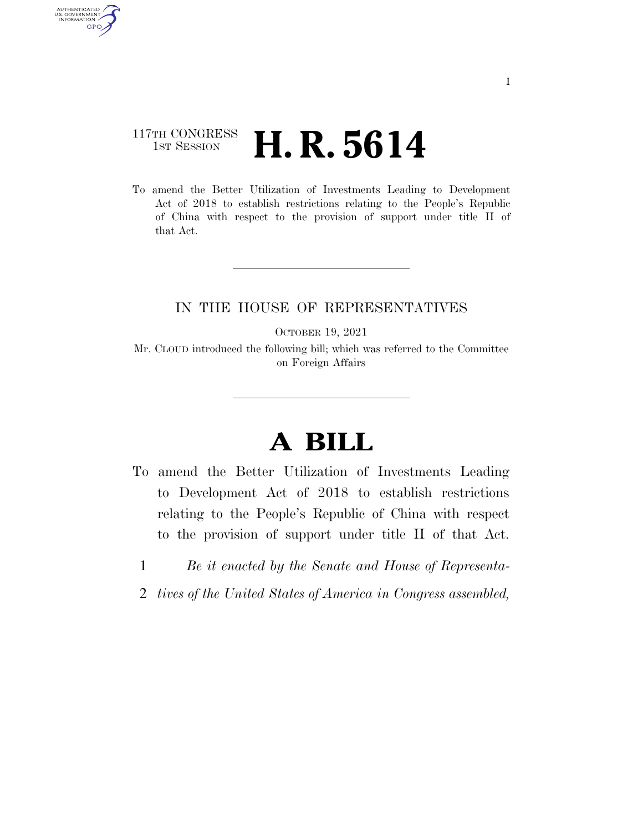## 117TH CONGRESS <sup>TH CONGRESS</sup> **H. R. 5614**

AUTHENTICATED<br>U.S. GOVERNMENT<br>INFORMATION GPO

> To amend the Better Utilization of Investments Leading to Development Act of 2018 to establish restrictions relating to the People's Republic of China with respect to the provision of support under title II of that Act.

## IN THE HOUSE OF REPRESENTATIVES

OCTOBER 19, 2021

Mr. CLOUD introduced the following bill; which was referred to the Committee on Foreign Affairs

## **A BILL**

- To amend the Better Utilization of Investments Leading to Development Act of 2018 to establish restrictions relating to the People's Republic of China with respect to the provision of support under title II of that Act.
	- 1 *Be it enacted by the Senate and House of Representa-*
- 2 *tives of the United States of America in Congress assembled,*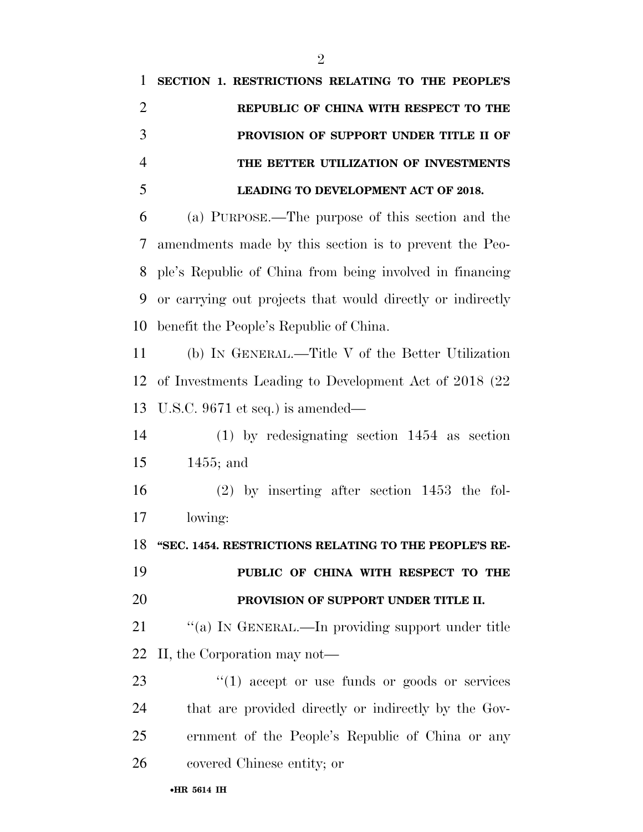**SECTION 1. RESTRICTIONS RELATING TO THE PEOPLE'S REPUBLIC OF CHINA WITH RESPECT TO THE PROVISION OF SUPPORT UNDER TITLE II OF THE BETTER UTILIZATION OF INVESTMENTS LEADING TO DEVELOPMENT ACT OF 2018.**  (a) PURPOSE.—The purpose of this section and the amendments made by this section is to prevent the Peo- ple's Republic of China from being involved in financing or carrying out projects that would directly or indirectly benefit the People's Republic of China. (b) IN GENERAL.—Title V of the Better Utilization of Investments Leading to Development Act of 2018 (22 U.S.C. 9671 et seq.) is amended— (1) by redesignating section 1454 as section 1455; and (2) by inserting after section 1453 the fol- lowing: **''SEC. 1454. RESTRICTIONS RELATING TO THE PEOPLE'S RE- PUBLIC OF CHINA WITH RESPECT TO THE PROVISION OF SUPPORT UNDER TITLE II.**  21 "(a) In GENERAL.—In providing support under title II, the Corporation may not—  $\frac{1}{2}$  (1) accept or use funds or goods or services that are provided directly or indirectly by the Gov- ernment of the People's Republic of China or any covered Chinese entity; or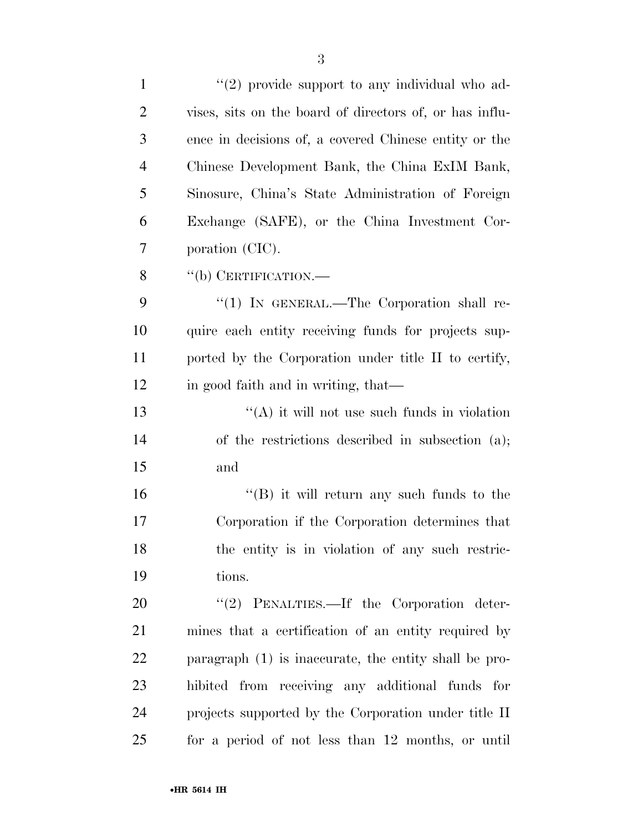| $\mathbf{1}$   | $\lq(2)$ provide support to any individual who ad-      |
|----------------|---------------------------------------------------------|
| $\overline{2}$ | vises, sits on the board of directors of, or has influ- |
| 3              | ence in decisions of, a covered Chinese entity or the   |
| $\overline{4}$ | Chinese Development Bank, the China ExIM Bank,          |
| 5              | Sinosure, China's State Administration of Foreign       |
| 6              | Exchange (SAFE), or the China Investment Cor-           |
| 7              | poration (CIC).                                         |
| 8              | "(b) CERTIFICATION.—                                    |
| 9              | "(1) IN GENERAL.—The Corporation shall re-              |
| 10             | quire each entity receiving funds for projects sup-     |
| 11             | ported by the Corporation under title II to certify,    |
| 12             | in good faith and in writing, that—                     |
| 13             | $\lq\lq$ it will not use such funds in violation        |
| 14             | of the restrictions described in subsection (a);        |
| 15             | and                                                     |
| 16             | $\lq\lq$ it will return any such funds to the           |
| 17             | Corporation if the Corporation determines that          |
| 18             | the entity is in violation of any such restric-         |
| 19             | tions.                                                  |
| 20             | "(2) PENALTIES.—If the Corporation deter-               |
| 21             | mines that a certification of an entity required by     |
| 22             | paragraph $(1)$ is inaccurate, the entity shall be pro- |
| 23             | hibited from receiving any additional funds for         |
| 24             | projects supported by the Corporation under title II    |
| 25             | for a period of not less than 12 months, or until       |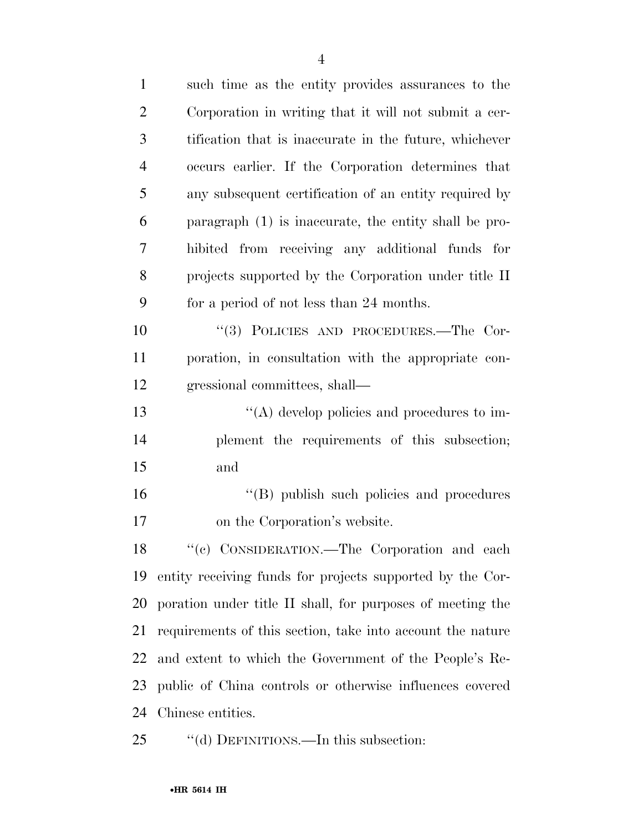| $\mathbf{1}$   | such time as the entity provides assurances to the         |
|----------------|------------------------------------------------------------|
| $\overline{2}$ | Corporation in writing that it will not submit a cer-      |
| 3              | tification that is inaccurate in the future, whichever     |
| $\overline{4}$ | occurs earlier. If the Corporation determines that         |
| 5              | any subsequent certification of an entity required by      |
| 6              | paragraph (1) is inaccurate, the entity shall be pro-      |
| 7              | hibited from receiving any additional funds for            |
| 8              | projects supported by the Corporation under title II       |
| 9              | for a period of not less than 24 months.                   |
| 10             | "(3) POLICIES AND PROCEDURES.—The Cor-                     |
| 11             | poration, in consultation with the appropriate con-        |
| 12             | gressional committees, shall—                              |
| 13             | "(A) develop policies and procedures to im-                |
| 14             | plement the requirements of this subsection;               |
| 15             | and                                                        |
| 16             | "(B) publish such policies and procedures                  |
| 17             | on the Corporation's website.                              |
| 18             | "(c) CONSIDERATION.—The Corporation and each               |
| 19             | entity receiving funds for projects supported by the Cor-  |
| 20             | poration under title II shall, for purposes of meeting the |
| 21             | requirements of this section, take into account the nature |
| 22             | and extent to which the Government of the People's Re-     |
| 23             | public of China controls or otherwise influences covered   |
| 24             | Chinese entities.                                          |
|                |                                                            |

25 "(d) DEFINITIONS.—In this subsection: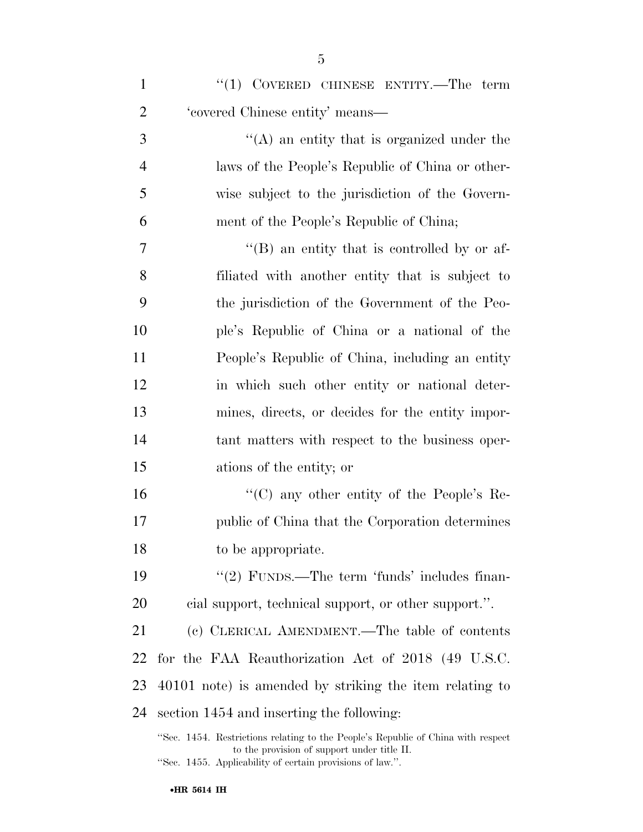| $\mathbf{1}$   | " $(1)$ COVERED CHINESE ENTITY.—The term            |
|----------------|-----------------------------------------------------|
| $\overline{2}$ | 'covered Chinese entity' means-                     |
| 3              | $\lq($ A) an entity that is organized under the     |
| $\overline{4}$ | laws of the People's Republic of China or other-    |
| 5              | wise subject to the jurisdiction of the Govern-     |
| 6              | ment of the People's Republic of China;             |
| 7              | $\lq\lq (B)$ an entity that is controlled by or af- |
| 8              | filiated with another entity that is subject to     |
| 9              | the jurisdiction of the Government of the Peo-      |
| 10             | ple's Republic of China or a national of the        |
| 11             | People's Republic of China, including an entity     |
| 12             | in which such other entity or national deter-       |
| 13             | mines, directs, or decides for the entity impor-    |
| 14             | tant matters with respect to the business oper-     |
| 15             | ations of the entity; or                            |
| 16             | "(C) any other entity of the People's Re-           |
| 17             | public of China that the Corporation determines     |
|                |                                                     |

- to be appropriate.
- 19 ''(2) FUNDS.—The term 'funds' includes finan-cial support, technical support, or other support.''.

 (c) CLERICAL AMENDMENT.—The table of contents for the FAA Reauthorization Act of 2018 (49 U.S.C. 40101 note) is amended by striking the item relating to section 1454 and inserting the following:

''Sec. 1454. Restrictions relating to the People's Republic of China with respect to the provision of support under title II. ''Sec. 1455. Applicability of certain provisions of law.''.